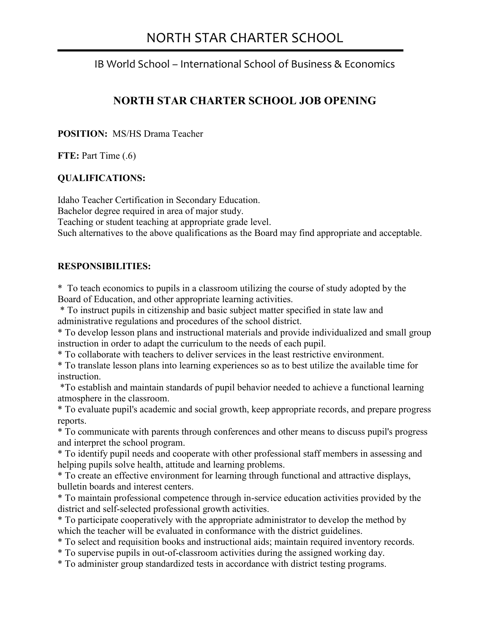## NORTH STAR CHARTER SCHOOL

j

## IB World School – International School of Business & Economics

## **NORTH STAR CHARTER SCHOOL JOB OPENING**

**POSITION:** MS/HS Drama Teacher

**FTE:** Part Time (.6)

#### **QUALIFICATIONS:**

Idaho Teacher Certification in Secondary Education. Bachelor degree required in area of major study. Teaching or student teaching at appropriate grade level. Such alternatives to the above qualifications as the Board may find appropriate and acceptable.

#### **RESPONSIBILITIES:**

\* To teach economics to pupils in a classroom utilizing the course of study adopted by the Board of Education, and other appropriate learning activities.

 \* To instruct pupils in citizenship and basic subject matter specified in state law and administrative regulations and procedures of the school district.

\* To develop lesson plans and instructional materials and provide individualized and small group instruction in order to adapt the curriculum to the needs of each pupil.

\* To collaborate with teachers to deliver services in the least restrictive environment.

\* To translate lesson plans into learning experiences so as to best utilize the available time for **instruction** 

 \*To establish and maintain standards of pupil behavior needed to achieve a functional learning atmosphere in the classroom.

\* To evaluate pupil's academic and social growth, keep appropriate records, and prepare progress reports.

\* To communicate with parents through conferences and other means to discuss pupil's progress and interpret the school program.

\* To identify pupil needs and cooperate with other professional staff members in assessing and helping pupils solve health, attitude and learning problems.

\* To create an effective environment for learning through functional and attractive displays, bulletin boards and interest centers.

\* To maintain professional competence through in-service education activities provided by the district and self-selected professional growth activities.

\* To participate cooperatively with the appropriate administrator to develop the method by which the teacher will be evaluated in conformance with the district guidelines.

\* To select and requisition books and instructional aids; maintain required inventory records.

\* To supervise pupils in out-of-classroom activities during the assigned working day.

\* To administer group standardized tests in accordance with district testing programs.